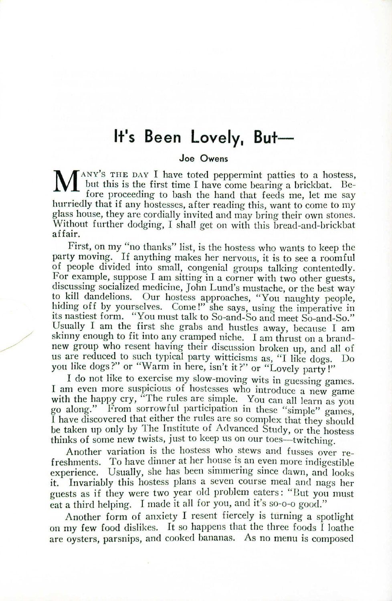# **It's Been Lovely, But-**

#### **Joe Owens**

Joe Owens<br>
MANY'S THE DAY I have toted peppermint patties to a hostess<br>
but this is the first time I have come bearing a brickbat. Be-<br>
fore proceeding to bash the hand that feeds me, let me say but this is the first time I have come bearing a brickbat. Before proceeding to bash the hand that feeds me, let me say hurriedly that if any hostesses, after reading this, want to come to my glass house, they are cordially invited and may bring their own stones. Without further dodging, I shall get on with this bread-and-brickbat affair.

First, on my "no thanks" list, is the hostess who wants to keep the party moving. If anything makes her nervous, it is to see <sup>a</sup> roomful of people divided into small, congenial groups talking contentedly. For example, suppose I am sitting in a corner with two other guests, discussing socialized medicine, John Lund's mustache, or the best way to kill dandelions. Our hostess approaches, "You naughty people, hiding off by yourselves. Come!" she says, using the imperative in its nastiest form. "You must talk to So-and-So and meet So-and-So Usually I am the first she grabs and hustles away, because I am skinny enough to fit into any cramped niche. I am thrust on a brandnew group who resent having their discussion broken up, and all of us are reduced to such typical party witticisms as, "I like dogs. Do you like dogs?" or "Warm in here, isn't it?" or "Lovely party!"

I do not like to exercise my slow-moving wits in guessing games. I am even more suspicious of hostesses who introduce a new game with the happy cry, "The rules are simple. You can all learn as you go along." From sorrowful participation in these "simple" games, I have discovered that either the rules are so complex that they should be taken up only by The Institute of Advanced Study, or the hostess thinks of some new twists, just to keep us on our toes—twitching.

Another variation is the hostess who stews and fusses over refreshments. To have dinner at her house is an even more indigestible experience. Usually, she has been simmering since dawn, and looks Invariably this hostess plans a seven course meal and nags her guests as if they were two year old problem eaters: "But you must eat a third helping. I made it all for you, and it's so-o-o good."

Another form of anxiety I resent fiercely is turning a spotlight on my few food dislikes. It so happens that the three foods  $\hat{I}$  loathe are oysters, parsnips, and cooked bananas. As no menu is composed